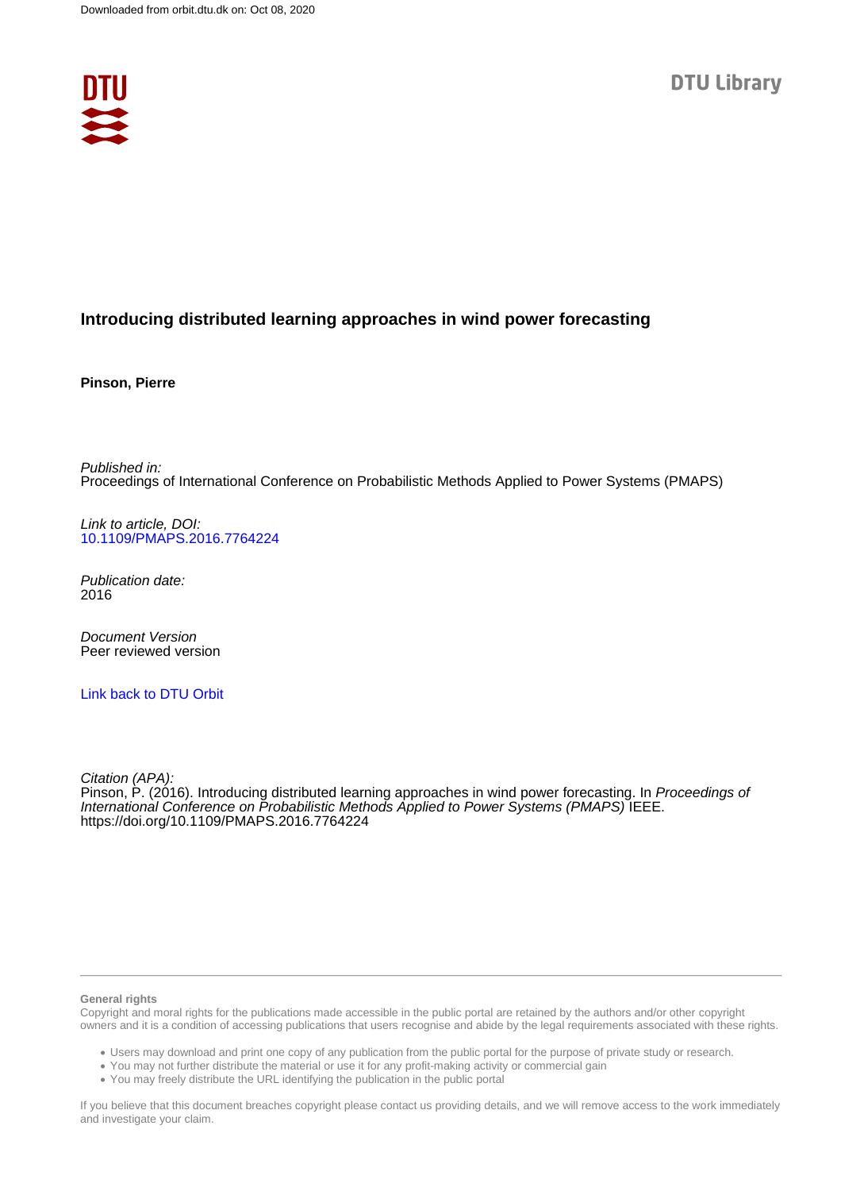

# **Introducing distributed learning approaches in wind power forecasting**

**Pinson, Pierre**

Published in: Proceedings of International Conference on Probabilistic Methods Applied to Power Systems (PMAPS)

Link to article, DOI: [10.1109/PMAPS.2016.7764224](https://doi.org/10.1109/PMAPS.2016.7764224)

Publication date: 2016

Document Version Peer reviewed version

[Link back to DTU Orbit](https://orbit.dtu.dk/en/publications/63e5fab3-70fa-4653-b090-627400cf7f03)

Citation (APA):

Pinson, P. (2016). Introducing distributed learning approaches in wind power forecasting. In Proceedings of International Conference on Probabilistic Methods Applied to Power Systems (PMAPS) IEEE. <https://doi.org/10.1109/PMAPS.2016.7764224>

#### **General rights**

Copyright and moral rights for the publications made accessible in the public portal are retained by the authors and/or other copyright owners and it is a condition of accessing publications that users recognise and abide by the legal requirements associated with these rights.

Users may download and print one copy of any publication from the public portal for the purpose of private study or research.

- You may not further distribute the material or use it for any profit-making activity or commercial gain
- You may freely distribute the URL identifying the publication in the public portal

If you believe that this document breaches copyright please contact us providing details, and we will remove access to the work immediately and investigate your claim.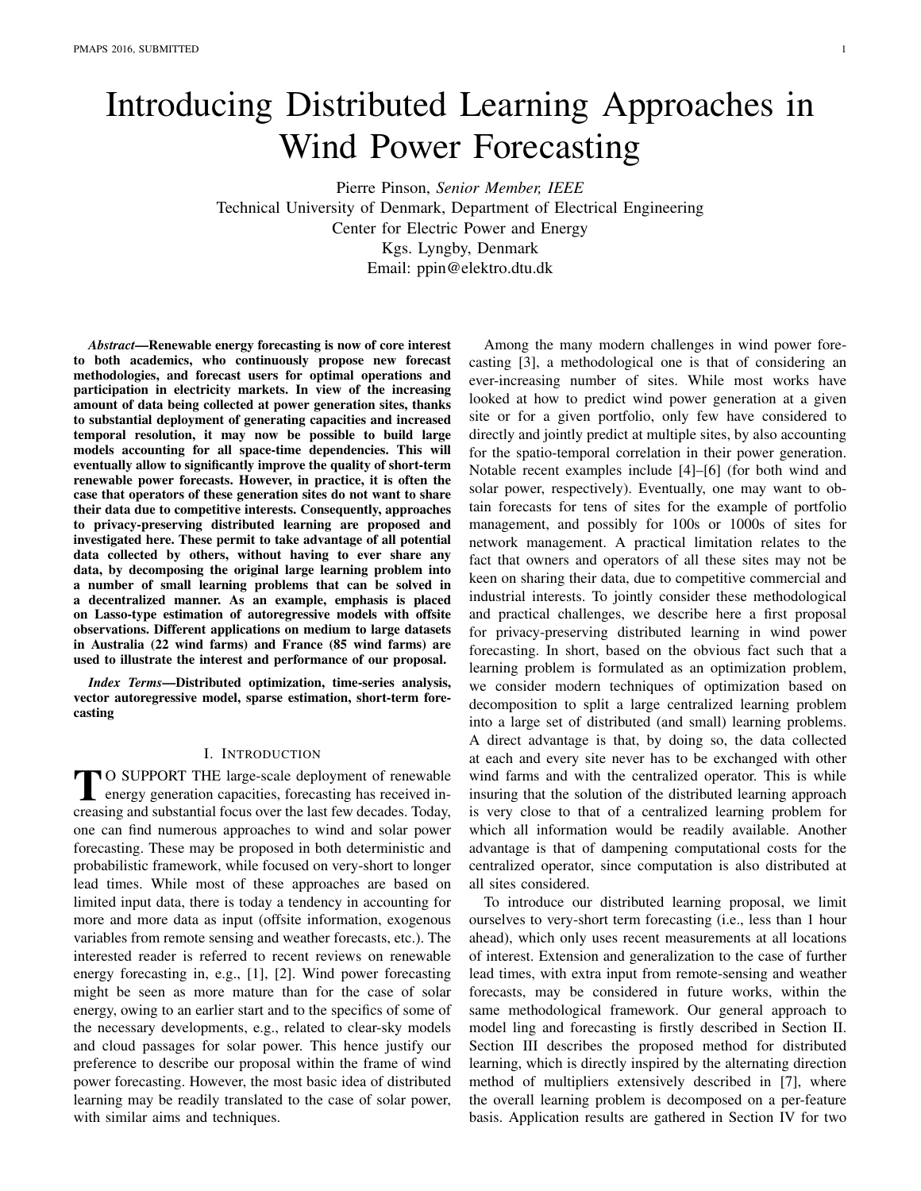# Introducing Distributed Learning Approaches in Wind Power Forecasting

Pierre Pinson, *Senior Member, IEEE* Technical University of Denmark, Department of Electrical Engineering Center for Electric Power and Energy Kgs. Lyngby, Denmark Email: ppin@elektro.dtu.dk

*Abstract*—Renewable energy forecasting is now of core interest to both academics, who continuously propose new forecast methodologies, and forecast users for optimal operations and participation in electricity markets. In view of the increasing amount of data being collected at power generation sites, thanks to substantial deployment of generating capacities and increased temporal resolution, it may now be possible to build large models accounting for all space-time dependencies. This will eventually allow to significantly improve the quality of short-term renewable power forecasts. However, in practice, it is often the case that operators of these generation sites do not want to share their data due to competitive interests. Consequently, approaches to privacy-preserving distributed learning are proposed and investigated here. These permit to take advantage of all potential data collected by others, without having to ever share any data, by decomposing the original large learning problem into a number of small learning problems that can be solved in a decentralized manner. As an example, emphasis is placed on Lasso-type estimation of autoregressive models with offsite observations. Different applications on medium to large datasets in Australia (22 wind farms) and France (85 wind farms) are used to illustrate the interest and performance of our proposal.

*Index Terms*—Distributed optimization, time-series analysis, vector autoregressive model, sparse estimation, short-term forecasting

# I. INTRODUCTION

TO SUPPORT THE large-scale deployment of renewable<br>energy generation capacities, forecasting has received in-<br>experienced substantial frame supplies last from develop. To drug energy generation capacities, forecasting has received increasing and substantial focus over the last few decades. Today, one can find numerous approaches to wind and solar power forecasting. These may be proposed in both deterministic and probabilistic framework, while focused on very-short to longer lead times. While most of these approaches are based on limited input data, there is today a tendency in accounting for more and more data as input (offsite information, exogenous variables from remote sensing and weather forecasts, etc.). The interested reader is referred to recent reviews on renewable energy forecasting in, e.g., [1], [2]. Wind power forecasting might be seen as more mature than for the case of solar energy, owing to an earlier start and to the specifics of some of the necessary developments, e.g., related to clear-sky models and cloud passages for solar power. This hence justify our preference to describe our proposal within the frame of wind power forecasting. However, the most basic idea of distributed learning may be readily translated to the case of solar power, with similar aims and techniques.

Among the many modern challenges in wind power forecasting [3], a methodological one is that of considering an ever-increasing number of sites. While most works have looked at how to predict wind power generation at a given site or for a given portfolio, only few have considered to directly and jointly predict at multiple sites, by also accounting for the spatio-temporal correlation in their power generation. Notable recent examples include [4]–[6] (for both wind and solar power, respectively). Eventually, one may want to obtain forecasts for tens of sites for the example of portfolio management, and possibly for 100s or 1000s of sites for network management. A practical limitation relates to the fact that owners and operators of all these sites may not be keen on sharing their data, due to competitive commercial and industrial interests. To jointly consider these methodological and practical challenges, we describe here a first proposal for privacy-preserving distributed learning in wind power forecasting. In short, based on the obvious fact such that a learning problem is formulated as an optimization problem, we consider modern techniques of optimization based on decomposition to split a large centralized learning problem into a large set of distributed (and small) learning problems. A direct advantage is that, by doing so, the data collected at each and every site never has to be exchanged with other wind farms and with the centralized operator. This is while insuring that the solution of the distributed learning approach is very close to that of a centralized learning problem for which all information would be readily available. Another advantage is that of dampening computational costs for the centralized operator, since computation is also distributed at all sites considered.

To introduce our distributed learning proposal, we limit ourselves to very-short term forecasting (i.e., less than 1 hour ahead), which only uses recent measurements at all locations of interest. Extension and generalization to the case of further lead times, with extra input from remote-sensing and weather forecasts, may be considered in future works, within the same methodological framework. Our general approach to model ling and forecasting is firstly described in Section II. Section III describes the proposed method for distributed learning, which is directly inspired by the alternating direction method of multipliers extensively described in [7], where the overall learning problem is decomposed on a per-feature basis. Application results are gathered in Section IV for two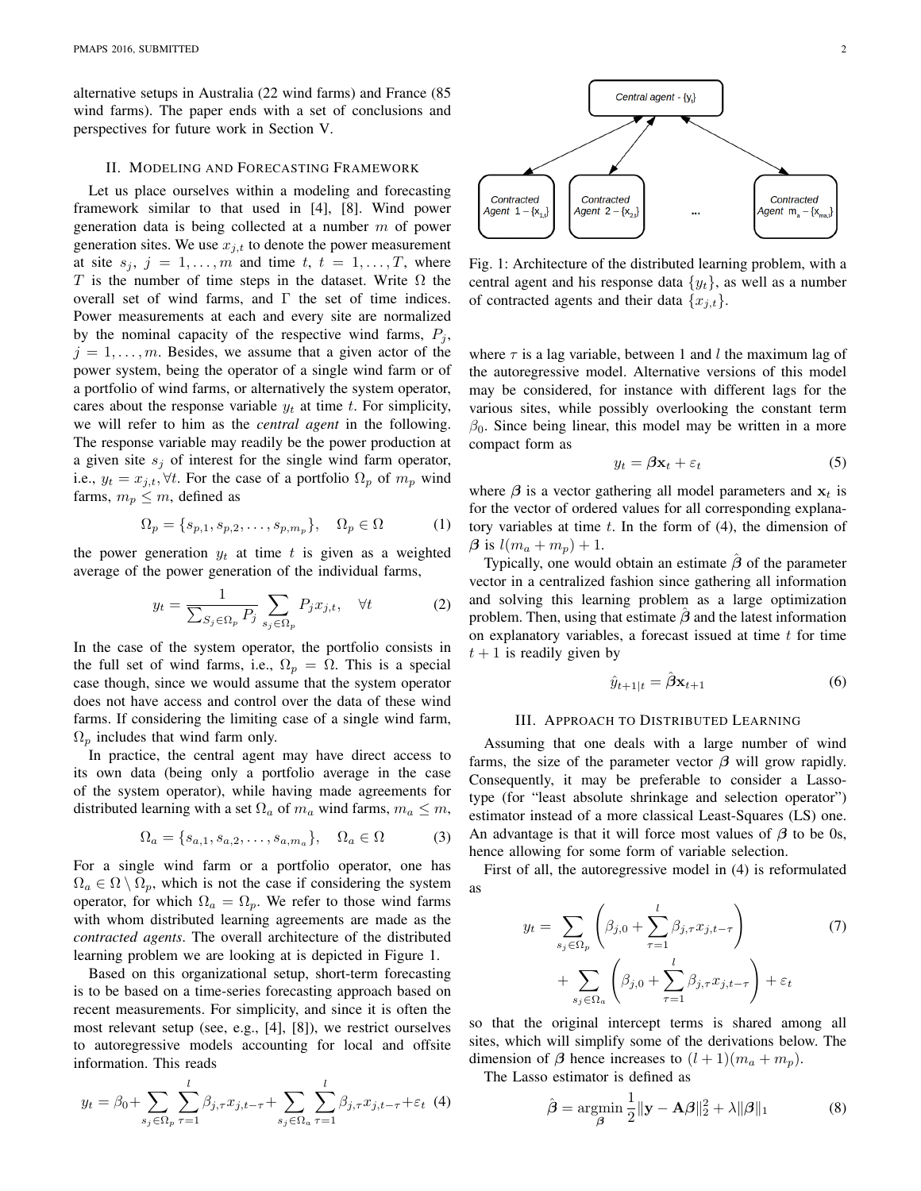alternative setups in Australia (22 wind farms) and France (85 wind farms). The paper ends with a set of conclusions and perspectives for future work in Section V.

# II. MODELING AND FORECASTING FRAMEWORK

Let us place ourselves within a modeling and forecasting framework similar to that used in [4], [8]. Wind power generation data is being collected at a number m of power generation sites. We use  $x_{i,t}$  to denote the power measurement at site  $s_j$ ,  $j = 1, \ldots, m$  and time  $t, t = 1, \ldots, T$ , where T is the number of time steps in the dataset. Write  $\Omega$  the overall set of wind farms, and Γ the set of time indices. Power measurements at each and every site are normalized by the nominal capacity of the respective wind farms,  $P_i$ ,  $j = 1, \ldots, m$ . Besides, we assume that a given actor of the power system, being the operator of a single wind farm or of a portfolio of wind farms, or alternatively the system operator, cares about the response variable  $y_t$  at time t. For simplicity, we will refer to him as the *central agent* in the following. The response variable may readily be the power production at a given site  $s_i$  of interest for the single wind farm operator, i.e.,  $y_t = x_{j,t}$ ,  $\forall t$ . For the case of a portfolio  $\Omega_p$  of  $m_p$  wind farms,  $m_p \leq m$ , defined as

$$
\Omega_p = \{s_{p,1}, s_{p,2}, \dots, s_{p,m_p}\}, \quad \Omega_p \in \Omega \tag{1}
$$

the power generation  $y_t$  at time t is given as a weighted average of the power generation of the individual farms,

$$
y_t = \frac{1}{\sum_{S_j \in \Omega_p} P_j} \sum_{s_j \in \Omega_p} P_j x_{j,t}, \quad \forall t \tag{2}
$$

In the case of the system operator, the portfolio consists in the full set of wind farms, i.e.,  $\Omega_p = \Omega$ . This is a special case though, since we would assume that the system operator does not have access and control over the data of these wind farms. If considering the limiting case of a single wind farm,  $\Omega_n$  includes that wind farm only.

In practice, the central agent may have direct access to its own data (being only a portfolio average in the case of the system operator), while having made agreements for distributed learning with a set  $\Omega_a$  of  $m_a$  wind farms,  $m_a \leq m$ ,

$$
\Omega_a = \{s_{a,1}, s_{a,2}, \dots, s_{a,m_a}\}, \quad \Omega_a \in \Omega \tag{3}
$$

For a single wind farm or a portfolio operator, one has  $\Omega_a \in \Omega \setminus \Omega_p$ , which is not the case if considering the system operator, for which  $\Omega_a = \Omega_p$ . We refer to those wind farms with whom distributed learning agreements are made as the *contracted agents*. The overall architecture of the distributed learning problem we are looking at is depicted in Figure 1.

Based on this organizational setup, short-term forecasting is to be based on a time-series forecasting approach based on recent measurements. For simplicity, and since it is often the most relevant setup (see, e.g., [4], [8]), we restrict ourselves to autoregressive models accounting for local and offsite information. This reads

$$
y_t = \beta_0 + \sum_{s_j \in \Omega_p} \sum_{\tau=1}^l \beta_{j,\tau} x_{j,t-\tau} + \sum_{s_j \in \Omega_a} \sum_{\tau=1}^l \beta_{j,\tau} x_{j,t-\tau} + \varepsilon_t \tag{4}
$$



Fig. 1: Architecture of the distributed learning problem, with a central agent and his response data  $\{y_t\}$ , as well as a number of contracted agents and their data  $\{x_{i,t}\}.$ 

where  $\tau$  is a lag variable, between 1 and l the maximum lag of the autoregressive model. Alternative versions of this model may be considered, for instance with different lags for the various sites, while possibly overlooking the constant term  $\beta_0$ . Since being linear, this model may be written in a more compact form as

$$
y_t = \beta \mathbf{x}_t + \varepsilon_t \tag{5}
$$

where  $\beta$  is a vector gathering all model parameters and  $x_t$  is for the vector of ordered values for all corresponding explanatory variables at time  $t$ . In the form of  $(4)$ , the dimension of  $\beta$  is  $l(m_a + m_p) + 1$ .

Typically, one would obtain an estimate  $\beta$  of the parameter vector in a centralized fashion since gathering all information and solving this learning problem as a large optimization problem. Then, using that estimate  $\beta$  and the latest information on explanatory variables, a forecast issued at time  $t$  for time  $t + 1$  is readily given by

$$
\hat{y}_{t+1|t} = \hat{\boldsymbol{\beta}} \mathbf{x}_{t+1} \tag{6}
$$

#### III. APPROACH TO DISTRIBUTED LEARNING

Assuming that one deals with a large number of wind farms, the size of the parameter vector  $\beta$  will grow rapidly. Consequently, it may be preferable to consider a Lassotype (for "least absolute shrinkage and selection operator") estimator instead of a more classical Least-Squares (LS) one. An advantage is that it will force most values of  $\beta$  to be 0s, hence allowing for some form of variable selection.

First of all, the autoregressive model in (4) is reformulated as

$$
y_t = \sum_{s_j \in \Omega_p} \left( \beta_{j,0} + \sum_{\tau=1}^l \beta_{j,\tau} x_{j,t-\tau} \right) \tag{7}
$$

$$
+ \sum_{s_j \in \Omega_a} \left( \beta_{j,0} + \sum_{\tau=1}^l \beta_{j,\tau} x_{j,t-\tau} \right) + \varepsilon_t
$$

so that the original intercept terms is shared among all sites, which will simplify some of the derivations below. The dimension of  $\beta$  hence increases to  $(l+1)(m_a + m_p)$ .

The Lasso estimator is defined as

$$
\hat{\boldsymbol{\beta}} = \underset{\boldsymbol{\beta}}{\text{argmin}} \frac{1}{2} ||\mathbf{y} - \mathbf{A}\boldsymbol{\beta}||_2^2 + \lambda ||\boldsymbol{\beta}||_1 \tag{8}
$$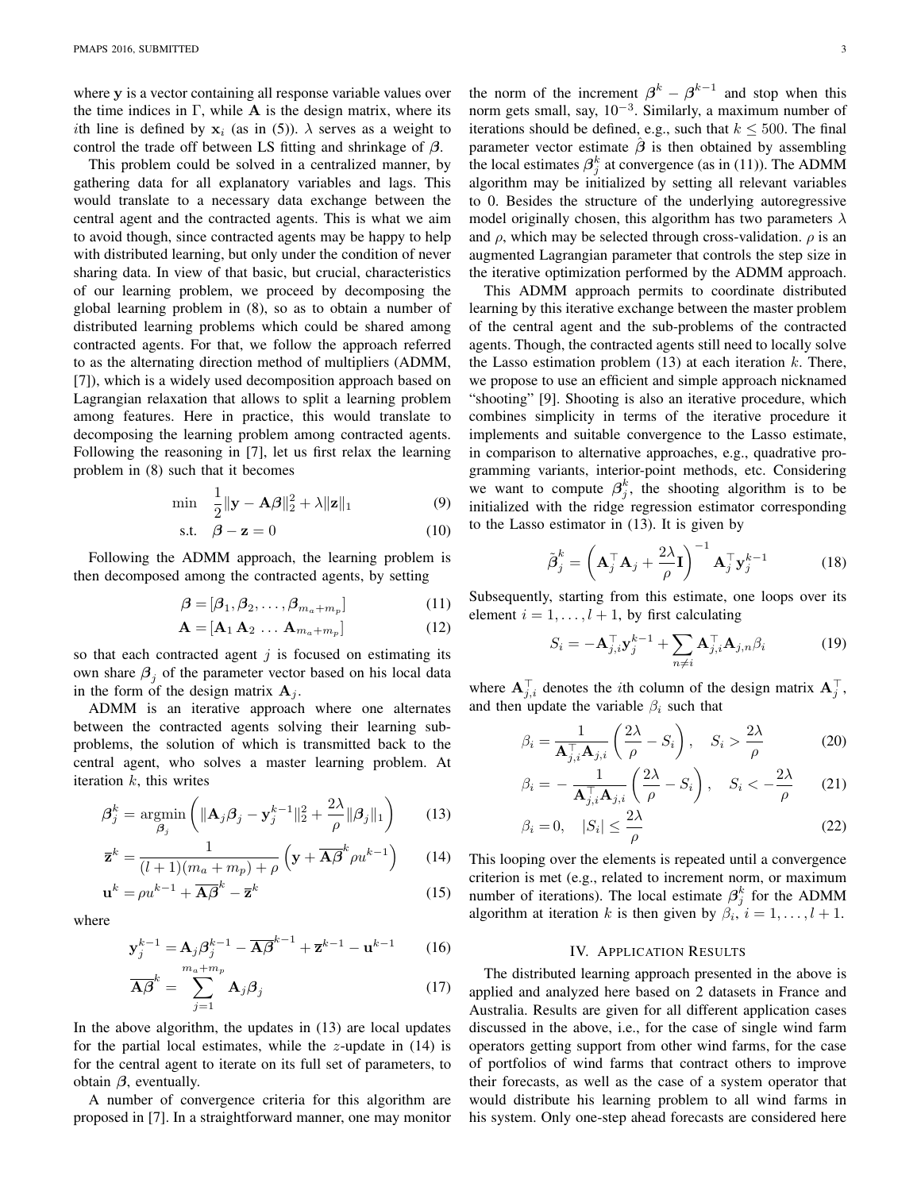where y is a vector containing all response variable values over the time indices in  $\Gamma$ , while **A** is the design matrix, where its ith line is defined by  $x_i$  (as in (5)).  $\lambda$  serves as a weight to control the trade off between LS fitting and shrinkage of  $\beta$ .

This problem could be solved in a centralized manner, by gathering data for all explanatory variables and lags. This would translate to a necessary data exchange between the central agent and the contracted agents. This is what we aim to avoid though, since contracted agents may be happy to help with distributed learning, but only under the condition of never sharing data. In view of that basic, but crucial, characteristics of our learning problem, we proceed by decomposing the global learning problem in (8), so as to obtain a number of distributed learning problems which could be shared among contracted agents. For that, we follow the approach referred to as the alternating direction method of multipliers (ADMM, [7]), which is a widely used decomposition approach based on Lagrangian relaxation that allows to split a learning problem among features. Here in practice, this would translate to decomposing the learning problem among contracted agents. Following the reasoning in [7], let us first relax the learning problem in (8) such that it becomes

$$
\min \quad \frac{1}{2} \|\mathbf{y} - \mathbf{A}\boldsymbol{\beta}\|_2^2 + \lambda \|\mathbf{z}\|_1 \tag{9}
$$

$$
\text{s.t.} \quad \beta - \mathbf{z} = 0 \tag{10}
$$

Following the ADMM approach, the learning problem is then decomposed among the contracted agents, by setting

$$
\boldsymbol{\beta} = [\beta_1, \beta_2, \dots, \beta_{m_a + m_p}] \tag{11}
$$

$$
\mathbf{A} = [\mathbf{A}_1 \, \mathbf{A}_2 \, \dots \, \mathbf{A}_{m_a + m_p}] \tag{12}
$$

so that each contracted agent  $j$  is focused on estimating its own share  $\beta_i$  of the parameter vector based on his local data in the form of the design matrix  $A_j$ .

ADMM is an iterative approach where one alternates between the contracted agents solving their learning subproblems, the solution of which is transmitted back to the central agent, who solves a master learning problem. At iteration  $k$ , this writes

$$
\boldsymbol{\beta}_{j}^{k} = \operatorname*{argmin}_{\boldsymbol{\beta}_{j}} \left( \|\mathbf{A}_{j}\boldsymbol{\beta}_{j} - \mathbf{y}_{j}^{k-1}\|_{2}^{2} + \frac{2\lambda}{\rho} \|\boldsymbol{\beta}_{j}\|_{1} \right) \qquad (13)
$$

$$
\overline{\mathbf{z}}^k = \frac{1}{(l+1)(m_a + m_p) + \rho} \left( \mathbf{y} + \overline{\mathbf{A}\boldsymbol{\beta}}^k \rho u^{k-1} \right) \tag{14}
$$

$$
\mathbf{u}^{k} = \rho u^{k-1} + \overline{\mathbf{A}\boldsymbol{\beta}}^{k} - \overline{\mathbf{z}}^{k}
$$
 (15)

where

$$
\mathbf{y}_{j}^{k-1} = \mathbf{A}_{j} \boldsymbol{\beta}_{j}^{k-1} - \overline{\mathbf{A}\boldsymbol{\beta}}^{k-1} + \overline{\mathbf{z}}^{k-1} - \mathbf{u}^{k-1}
$$
 (16)

$$
\overline{\mathbf{A}\boldsymbol{\beta}}^k = \sum_{j=1}^{N} \mathbf{A}_j \boldsymbol{\beta}_j \tag{17}
$$

In the above algorithm, the updates in (13) are local updates for the partial local estimates, while the *z*-update in  $(14)$  is for the central agent to iterate on its full set of parameters, to obtain  $\beta$ , eventually.

A number of convergence criteria for this algorithm are proposed in [7]. In a straightforward manner, one may monitor

the norm of the increment  $\beta^k - \beta^{k-1}$  and stop when this norm gets small, say, 10<sup>-3</sup>. Similarly, a maximum number of iterations should be defined, e.g., such that  $k \le 500$ . The final parameter vector estimate  $\hat{\beta}$  is then obtained by assembling the local estimates  $\beta_j^k$  at convergence (as in (11)). The ADMM algorithm may be initialized by setting all relevant variables to 0. Besides the structure of the underlying autoregressive model originally chosen, this algorithm has two parameters  $\lambda$ and  $\rho$ , which may be selected through cross-validation.  $\rho$  is an augmented Lagrangian parameter that controls the step size in the iterative optimization performed by the ADMM approach.

This ADMM approach permits to coordinate distributed learning by this iterative exchange between the master problem of the central agent and the sub-problems of the contracted agents. Though, the contracted agents still need to locally solve the Lasso estimation problem  $(13)$  at each iteration k. There, we propose to use an efficient and simple approach nicknamed "shooting" [9]. Shooting is also an iterative procedure, which combines simplicity in terms of the iterative procedure it implements and suitable convergence to the Lasso estimate, in comparison to alternative approaches, e.g., quadrative programming variants, interior-point methods, etc. Considering we want to compute  $\beta_j^k$ , the shooting algorithm is to be initialized with the ridge regression estimator corresponding to the Lasso estimator in (13). It is given by

$$
\tilde{\boldsymbol{\beta}}_j^k = \left(\mathbf{A}_j^\top \mathbf{A}_j + \frac{2\lambda}{\rho} \mathbf{I}\right)^{-1} \mathbf{A}_j^\top \mathbf{y}_j^{k-1} \tag{18}
$$

Subsequently, starting from this estimate, one loops over its element  $i = 1, \ldots, l + 1$ , by first calculating

$$
S_i = -\mathbf{A}_{j,i}^{\top} \mathbf{y}_j^{k-1} + \sum_{n \neq i} \mathbf{A}_{j,i}^{\top} \mathbf{A}_{j,n} \beta_i
$$
 (19)

where  $A_{j,i}^{\top}$  denotes the *i*th column of the design matrix  $A_j^{\top}$ , and then update the variable  $\beta_i$  such that

$$
\beta_i = \frac{1}{\mathbf{A}_{j,i}^{\top} \mathbf{A}_{j,i}} \left( \frac{2\lambda}{\rho} - S_i \right), \quad S_i > \frac{2\lambda}{\rho} \tag{20}
$$

$$
\beta_i = -\frac{1}{\mathbf{A}_{j,i}^{\top} \mathbf{A}_{j,i}} \left( \frac{2\lambda}{\rho} - S_i \right), \quad S_i < -\frac{2\lambda}{\rho} \tag{21}
$$

$$
\beta_i = 0, \quad |S_i| \le \frac{2\lambda}{\rho} \tag{22}
$$

This looping over the elements is repeated until a convergence criterion is met (e.g., related to increment norm, or maximum number of iterations). The local estimate  $\beta_j^k$  for the ADMM algorithm at iteration k is then given by  $\beta_i$ ,  $i = 1, \ldots, l + 1$ .

#### IV. APPLICATION RESULTS

The distributed learning approach presented in the above is applied and analyzed here based on 2 datasets in France and Australia. Results are given for all different application cases discussed in the above, i.e., for the case of single wind farm operators getting support from other wind farms, for the case of portfolios of wind farms that contract others to improve their forecasts, as well as the case of a system operator that would distribute his learning problem to all wind farms in his system. Only one-step ahead forecasts are considered here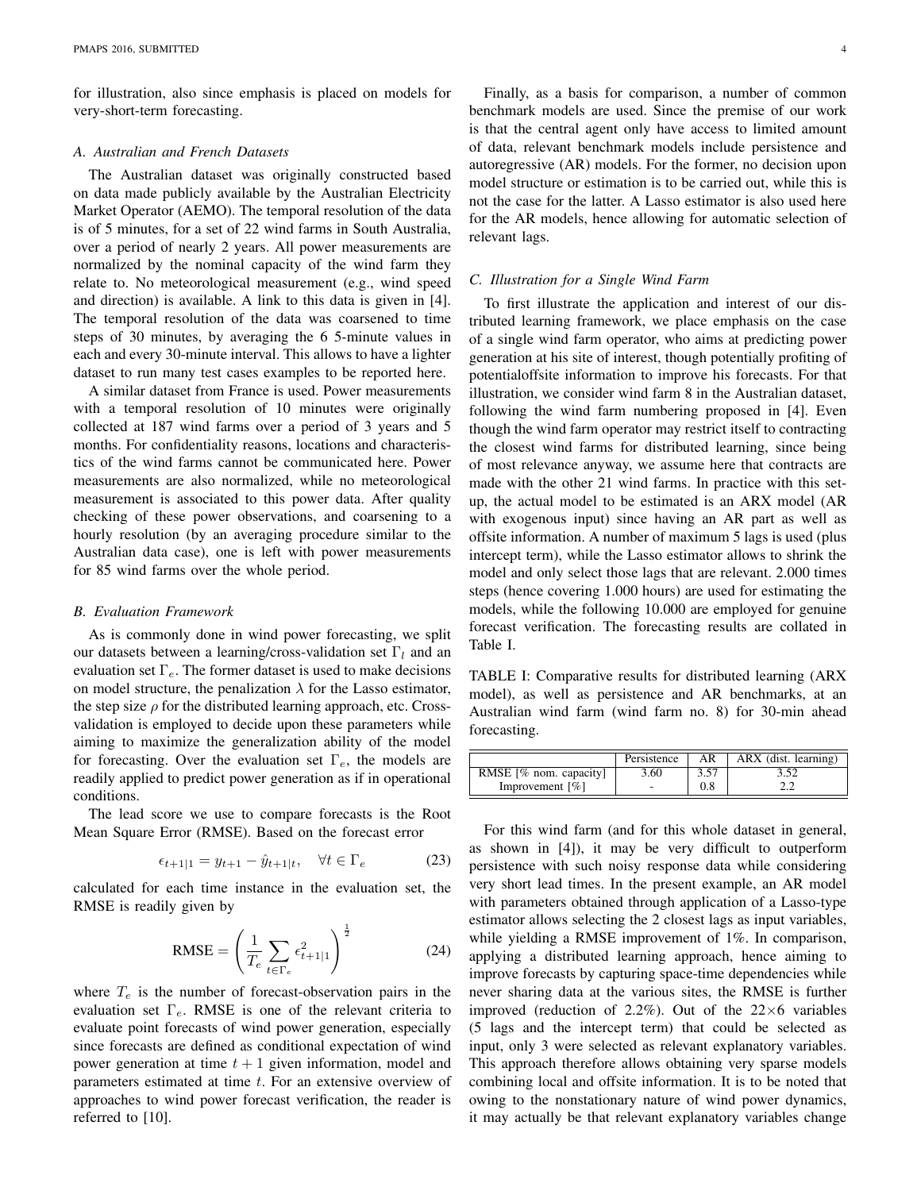for illustration, also since emphasis is placed on models for very-short-term forecasting.

## *A. Australian and French Datasets*

The Australian dataset was originally constructed based on data made publicly available by the Australian Electricity Market Operator (AEMO). The temporal resolution of the data is of 5 minutes, for a set of 22 wind farms in South Australia, over a period of nearly 2 years. All power measurements are normalized by the nominal capacity of the wind farm they relate to. No meteorological measurement (e.g., wind speed and direction) is available. A link to this data is given in [4]. The temporal resolution of the data was coarsened to time steps of 30 minutes, by averaging the 6 5-minute values in each and every 30-minute interval. This allows to have a lighter dataset to run many test cases examples to be reported here.

A similar dataset from France is used. Power measurements with a temporal resolution of 10 minutes were originally collected at 187 wind farms over a period of 3 years and 5 months. For confidentiality reasons, locations and characteristics of the wind farms cannot be communicated here. Power measurements are also normalized, while no meteorological measurement is associated to this power data. After quality checking of these power observations, and coarsening to a hourly resolution (by an averaging procedure similar to the Australian data case), one is left with power measurements for 85 wind farms over the whole period.

# *B. Evaluation Framework*

As is commonly done in wind power forecasting, we split our datasets between a learning/cross-validation set  $\Gamma_l$  and an evaluation set  $\Gamma_e$ . The former dataset is used to make decisions on model structure, the penalization  $\lambda$  for the Lasso estimator, the step size  $\rho$  for the distributed learning approach, etc. Crossvalidation is employed to decide upon these parameters while aiming to maximize the generalization ability of the model for forecasting. Over the evaluation set  $\Gamma_e$ , the models are readily applied to predict power generation as if in operational conditions.

The lead score we use to compare forecasts is the Root Mean Square Error (RMSE). Based on the forecast error

$$
\epsilon_{t+1|1} = y_{t+1} - \hat{y}_{t+1|t}, \quad \forall t \in \Gamma_e \tag{23}
$$

calculated for each time instance in the evaluation set, the RMSE is readily given by

RMSE = 
$$
\left(\frac{1}{T_e} \sum_{t \in \Gamma_e} \epsilon_{t+1|1}^2\right)^{\frac{1}{2}}
$$
 (24)

where  $T_e$  is the number of forecast-observation pairs in the evaluation set  $\Gamma_e$ . RMSE is one of the relevant criteria to evaluate point forecasts of wind power generation, especially since forecasts are defined as conditional expectation of wind power generation at time  $t + 1$  given information, model and parameters estimated at time  $t$ . For an extensive overview of approaches to wind power forecast verification, the reader is referred to [10].

Finally, as a basis for comparison, a number of common benchmark models are used. Since the premise of our work is that the central agent only have access to limited amount of data, relevant benchmark models include persistence and autoregressive (AR) models. For the former, no decision upon model structure or estimation is to be carried out, while this is not the case for the latter. A Lasso estimator is also used here for the AR models, hence allowing for automatic selection of relevant lags.

#### *C. Illustration for a Single Wind Farm*

To first illustrate the application and interest of our distributed learning framework, we place emphasis on the case of a single wind farm operator, who aims at predicting power generation at his site of interest, though potentially profiting of potentialoffsite information to improve his forecasts. For that illustration, we consider wind farm 8 in the Australian dataset, following the wind farm numbering proposed in [4]. Even though the wind farm operator may restrict itself to contracting the closest wind farms for distributed learning, since being of most relevance anyway, we assume here that contracts are made with the other 21 wind farms. In practice with this setup, the actual model to be estimated is an ARX model (AR with exogenous input) since having an AR part as well as offsite information. A number of maximum 5 lags is used (plus intercept term), while the Lasso estimator allows to shrink the model and only select those lags that are relevant. 2.000 times steps (hence covering 1.000 hours) are used for estimating the models, while the following 10.000 are employed for genuine forecast verification. The forecasting results are collated in Table I.

TABLE I: Comparative results for distributed learning (ARX model), as well as persistence and AR benchmarks, at an Australian wind farm (wind farm no. 8) for 30-min ahead forecasting.

|                          | Persistence | ΑR   | ARX (dist. learning) |
|--------------------------|-------------|------|----------------------|
| RMSE $[%$ nom. capacity] | 3.60        | 3.57 | 3.52                 |
| Improvement $[\%]$       |             | 0.8  |                      |

For this wind farm (and for this whole dataset in general, as shown in [4]), it may be very difficult to outperform persistence with such noisy response data while considering very short lead times. In the present example, an AR model with parameters obtained through application of a Lasso-type estimator allows selecting the 2 closest lags as input variables, while yielding a RMSE improvement of 1%. In comparison, applying a distributed learning approach, hence aiming to improve forecasts by capturing space-time dependencies while never sharing data at the various sites, the RMSE is further improved (reduction of 2.2%). Out of the  $22\times6$  variables (5 lags and the intercept term) that could be selected as input, only 3 were selected as relevant explanatory variables. This approach therefore allows obtaining very sparse models combining local and offsite information. It is to be noted that owing to the nonstationary nature of wind power dynamics, it may actually be that relevant explanatory variables change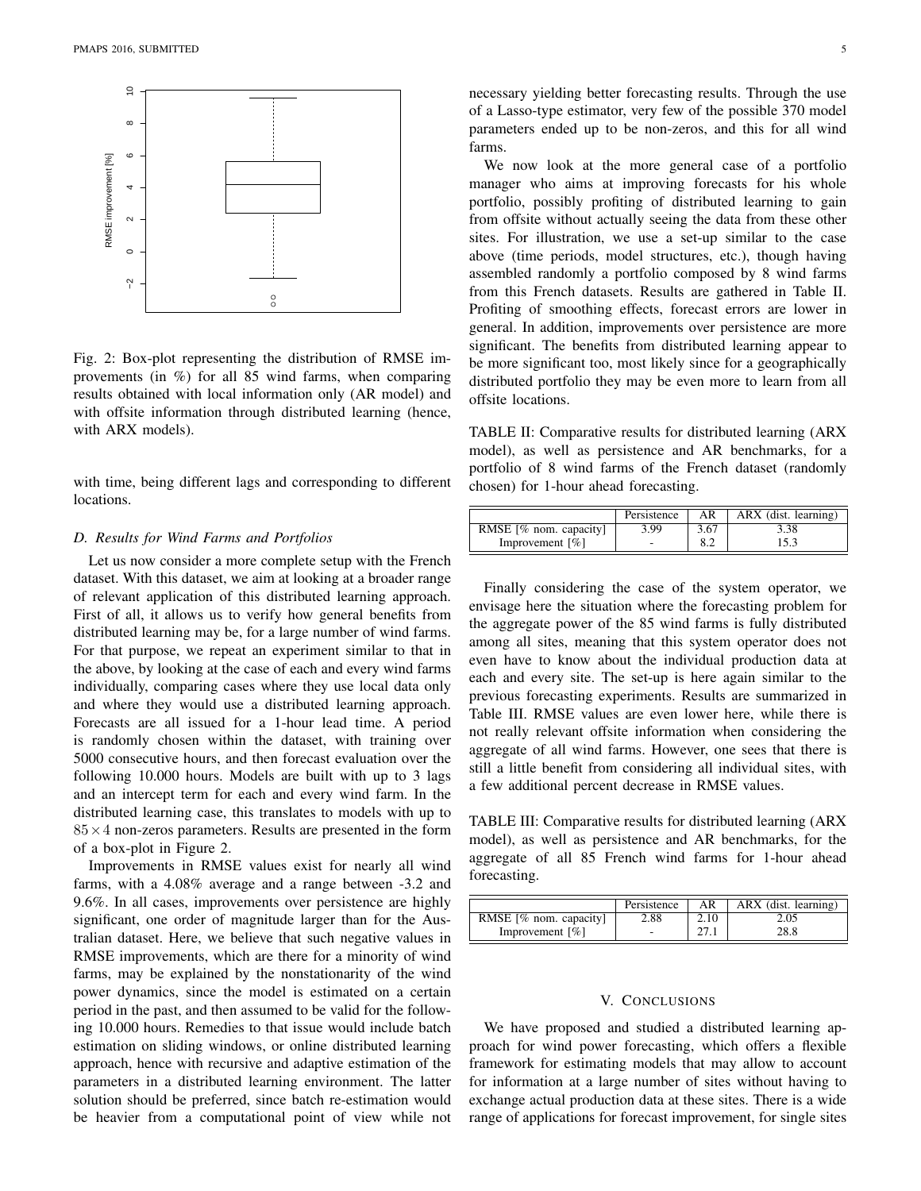

Fig. 2: Box-plot representing the distribution of RMSE improvements (in %) for all 85 wind farms, when comparing results obtained with local information only (AR model) and with offsite information through distributed learning (hence, with ARX models).

with time, being different lags and corresponding to different locations.

## *D. Results for Wind Farms and Portfolios*

Let us now consider a more complete setup with the French dataset. With this dataset, we aim at looking at a broader range of relevant application of this distributed learning approach. First of all, it allows us to verify how general benefits from distributed learning may be, for a large number of wind farms. For that purpose, we repeat an experiment similar to that in the above, by looking at the case of each and every wind farms individually, comparing cases where they use local data only and where they would use a distributed learning approach. Forecasts are all issued for a 1-hour lead time. A period is randomly chosen within the dataset, with training over 5000 consecutive hours, and then forecast evaluation over the following 10.000 hours. Models are built with up to 3 lags and an intercept term for each and every wind farm. In the distributed learning case, this translates to models with up to  $85 \times 4$  non-zeros parameters. Results are presented in the form of a box-plot in Figure 2.

Improvements in RMSE values exist for nearly all wind farms, with a 4.08% average and a range between -3.2 and 9.6%. In all cases, improvements over persistence are highly significant, one order of magnitude larger than for the Australian dataset. Here, we believe that such negative values in RMSE improvements, which are there for a minority of wind farms, may be explained by the nonstationarity of the wind power dynamics, since the model is estimated on a certain period in the past, and then assumed to be valid for the following 10.000 hours. Remedies to that issue would include batch estimation on sliding windows, or online distributed learning approach, hence with recursive and adaptive estimation of the parameters in a distributed learning environment. The latter solution should be preferred, since batch re-estimation would be heavier from a computational point of view while not

necessary yielding better forecasting results. Through the use of a Lasso-type estimator, very few of the possible 370 model parameters ended up to be non-zeros, and this for all wind farms.

We now look at the more general case of a portfolio manager who aims at improving forecasts for his whole portfolio, possibly profiting of distributed learning to gain from offsite without actually seeing the data from these other sites. For illustration, we use a set-up similar to the case above (time periods, model structures, etc.), though having assembled randomly a portfolio composed by 8 wind farms from this French datasets. Results are gathered in Table II. Profiting of smoothing effects, forecast errors are lower in general. In addition, improvements over persistence are more significant. The benefits from distributed learning appear to be more significant too, most likely since for a geographically distributed portfolio they may be even more to learn from all offsite locations.

TABLE II: Comparative results for distributed learning (ARX model), as well as persistence and AR benchmarks, for a portfolio of 8 wind farms of the French dataset (randomly chosen) for 1-hour ahead forecasting.

|                                | Persistence | ΑR   | ARX (dist. learning) |
|--------------------------------|-------------|------|----------------------|
| RMSE $[%$ nom. capacity]       | 3.99        | 3.67 | 3.38                 |
| Improvement $\lceil \% \rceil$ |             |      |                      |

Finally considering the case of the system operator, we envisage here the situation where the forecasting problem for the aggregate power of the 85 wind farms is fully distributed among all sites, meaning that this system operator does not even have to know about the individual production data at each and every site. The set-up is here again similar to the previous forecasting experiments. Results are summarized in Table III. RMSE values are even lower here, while there is not really relevant offsite information when considering the aggregate of all wind farms. However, one sees that there is still a little benefit from considering all individual sites, with a few additional percent decrease in RMSE values.

TABLE III: Comparative results for distributed learning (ARX model), as well as persistence and AR benchmarks, for the aggregate of all 85 French wind farms for 1-hour ahead forecasting.

|                          | Persistence | ΑR   | ARX (dist. learning) |
|--------------------------|-------------|------|----------------------|
| RMSE $[%$ nom. capacity] | 2.88        | 2.10 | 2.05                 |
| Improvement $[\%]$       |             |      | 28.8                 |

# V. CONCLUSIONS

We have proposed and studied a distributed learning approach for wind power forecasting, which offers a flexible framework for estimating models that may allow to account for information at a large number of sites without having to exchange actual production data at these sites. There is a wide range of applications for forecast improvement, for single sites